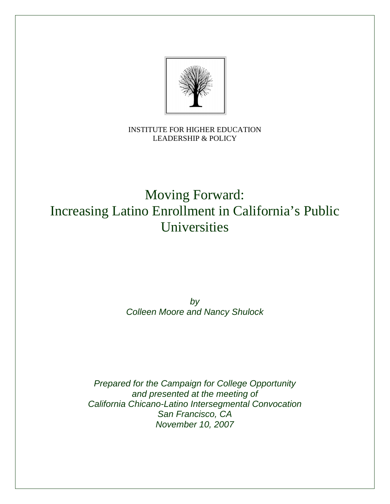

# INSTITUTE FOR HIGHER EDUCATION LEADERSHIP & POLICY

# Moving Forward: Increasing Latino Enrollment in California's Public Universities

# *by Colleen Moore and Nancy Shulock*

*Prepared for the Campaign for College Opportunity and presented at the meeting of California Chicano-Latino Intersegmental Convocation San Francisco, CA November 10, 2007*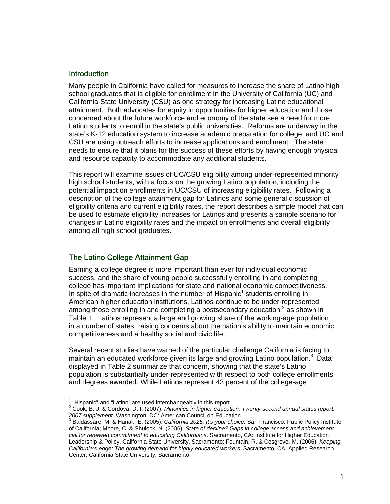## **Introduction**

Many people in California have called for measures to increase the share of Latino high school graduates that is eligible for enrollment in the University of California (UC) and California State University (CSU) as one strategy for increasing Latino educational attainment. Both advocates for equity in opportunities for higher education and those concerned about the future workforce and economy of the state see a need for more Latino students to enroll in the state's public universities. Reforms are underway in the state's K-12 education system to increase academic preparation for college, and UC and CSU are using outreach efforts to increase applications and enrollment. The state needs to ensure that it plans for the success of these efforts by having enough physical and resource capacity to accommodate any additional students.

This report will examine issues of UC/CSU eligibility among under-represented minority high school students, with a focus on the growing Latino population, including the potential impact on enrollments in UC/CSU of increasing eligibility rates. Following a description of the college attainment gap for Latinos and some general discussion of eligibility criteria and current eligibility rates, the report describes a simple model that can be used to estimate eligibility increases for Latinos and presents a sample scenario for changes in Latino eligibility rates and the impact on enrollments and overall eligibility among all high school graduates.

# The Latino College Attainment Gap

Earning a college degree is more important than ever for individual economic success, and the share of young people successfully enrolling in and completing college has important implications for state and national economic competitiveness. In spite of dramatic increases in the number of Hispanic<sup>[1](#page-1-0)</sup> students enrolling in American higher education institutions, Latinos continue to be under-represented among those enrolling in and completing a postsecondary education,<sup>[2](#page-1-1)</sup> as shown in Table 1. Latinos represent a large and growing share of the working-age population in a number of states, raising concerns about the nation's ability to maintain economic competitiveness and a healthy social and civic life.

Several recent studies have warned of the particular challenge California is facing to maintain an educated workforce given its large and growing Latino population.<sup>[3](#page-1-2)</sup> Data displayed in Table 2 summarize that concern, showing that the state's Latino population is substantially under-represented with respect to both college enrollments and degrees awarded. While Latinos represent 43 percent of the college-age

 $\overline{a}$ 

<span id="page-1-0"></span><sup>&</sup>lt;sup>1</sup> "Hispanic" and "Latino" are used interchangeably in this report.<br><sup>2</sup> Ceek, B. J. & Cerdove, D. J. (2007). Minerities in higher educati

<span id="page-1-1"></span>Cook, B. J. & Cordova, D. I. (2007). *Minorities in higher education: Twenty-second annual status report:*

<span id="page-1-2"></span><sup>2</sup>*007 supplement*. Washington, DC: American Council on Education.<br><sup>3</sup> Baldassare, M. & Hanak, E. (2005). *California 2025: It's your choice.* San Francisco: Public Policy Institute of California; Moore, C. & Shulock, N. (2006). *State of decline? Gaps in college access and achievement call for renewed commitment to educating Californians*. Sacramento, CA: Institute for Higher Education Leadership & Policy, California State University, Sacramento; Fountain, R. & Cosgrove, M. (2006). *Keeping California's edge: The growing demand for highly educated workers*. Sacramento, CA: Applied Research Center, California State University, Sacramento.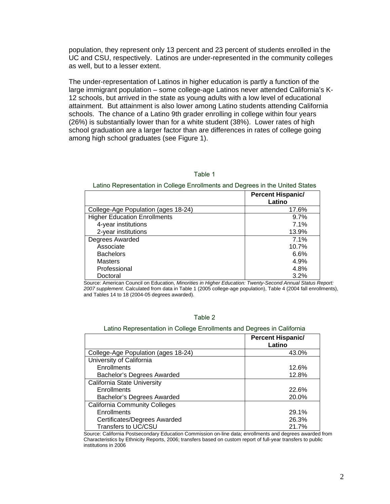population, they represent only 13 percent and 23 percent of students enrolled in the UC and CSU, respectively. Latinos are under-represented in the community colleges as well, but to a lesser extent.

The under-representation of Latinos in higher education is partly a function of the large immigrant population – some college-age Latinos never attended California's K-12 schools, but arrived in the state as young adults with a low level of educational attainment. But attainment is also lower among Latino students attending California schools. The chance of a Latino 9th grader enrolling in college within four years (26%) is substantially lower than for a white student (38%). Lower rates of high school graduation are a larger factor than are differences in rates of college going among high school graduates (see Figure 1).

#### Table 1

Latino Representation in College Enrollments and Degrees in the United States

|                                     | <b>Percent Hispanic/</b><br>Latino |
|-------------------------------------|------------------------------------|
| College-Age Population (ages 18-24) | 17.6%                              |
| <b>Higher Education Enrollments</b> | 9.7%                               |
| 4-year institutions                 | 7.1%                               |
| 2-year institutions                 | 13.9%                              |
| Degrees Awarded                     | 7.1%                               |
| Associate                           | 10.7%                              |
| <b>Bachelors</b>                    | 6.6%                               |
| <b>Masters</b>                      | 4.9%                               |
| Professional                        | 4.8%                               |
| Doctoral                            | 3.2%                               |

Source: American Council on Education, *Minorities in Higher Education: Twenty-Second Annual Status Report: 2007 supplement*. Calculated from data in Table 1 (2005 college-age population), Table 4 (2004 fall enrollments), and Tables 14 to 18 (2004-05 degrees awarded).

#### Table 2

#### Latino Representation in College Enrollments and Degrees in California

|                                      | <b>Percent Hispanic/</b><br>Latino |
|--------------------------------------|------------------------------------|
| College-Age Population (ages 18-24)  | 43.0%                              |
| University of California             |                                    |
| Enrollments                          | 12.6%                              |
| Bachelor's Degrees Awarded           | 12.8%                              |
| California State University          |                                    |
| Enrollments                          | 22.6%                              |
| Bachelor's Degrees Awarded           | 20.0%                              |
| <b>California Community Colleges</b> |                                    |
| Enrollments                          | 29.1%                              |
| Certificates/Degrees Awarded         | 26.3%                              |
| Transfers to UC/CSU                  | 21.7%                              |

Source: California Postsecondary Education Commission on-line data; enrollments and degrees awarded from Characteristics by Ethnicity Reports, 2006; transfers based on custom report of full-year transfers to public institutions in 2006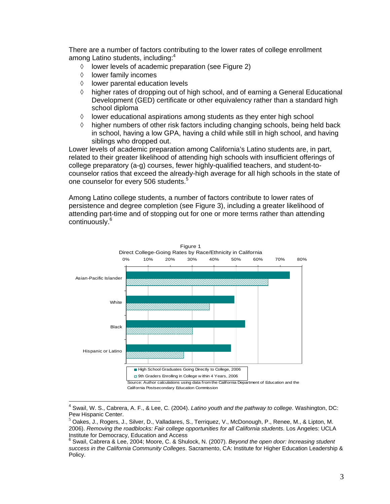There are a number of factors contributing to the lower rates of college enrollment among Latino students, including:<sup>[4](#page-3-0)</sup>

- ◊ lower levels of academic preparation (see Figure 2)
- ◊ lower family incomes
- ◊ lower parental education levels
- $\Diamond$  higher rates of dropping out of high school, and of earning a General Educational Development (GED) certificate or other equivalency rather than a standard high school diploma
- ◊ lower educational aspirations among students as they enter high school
- $\Diamond$  higher numbers of other risk factors including changing schools, being held back in school, having a low GPA, having a child while still in high school, and having siblings who dropped out.

Lower levels of academic preparation among California's Latino students are, in part, related to their greater likelihood of attending high schools with insufficient offerings of college preparatory (a-g) courses, fewer highly-qualified teachers, and student-tocounselor ratios that exceed the already-high average for all high schools in the state of one counselor for every [5](#page-3-1)06 students.<sup>5</sup>

Among Latino college students, a number of factors contribute to lower rates of persistence and degree completion (see Figure 3), including a greater likelihood of attending part-time and of stopping out for one or more terms rather than attending continuously.<sup>[6](#page-3-2)</sup>



<span id="page-3-0"></span> $\overline{\phantom{a}}$ 4 Swail, W. S., Cabrera, A. F., & Lee, C. (2004). *Latino youth and the pathway to college*. Washington, DC: Pew Hispanic Center.<br><sup>5</sup> Oakes, J., Rogers, J., Silver, D., Valladares, S., Terriquez, V., McDonough, P., Renee, M., & Lipton, M.

<span id="page-3-1"></span><sup>2006).</sup> *Removing the roadblocks: Fair college opportunities for all California students*. Los Angeles: UCLA Institute for Democracy, Education and Access 6

<span id="page-3-2"></span>Swail, Cabrera & Lee, 2004; Moore, C. & Shulock, N. (2007). *Beyond the open door: Increasing student success in the California Community Colleges*. Sacramento, CA: Institute for Higher Education Leadership & Policy.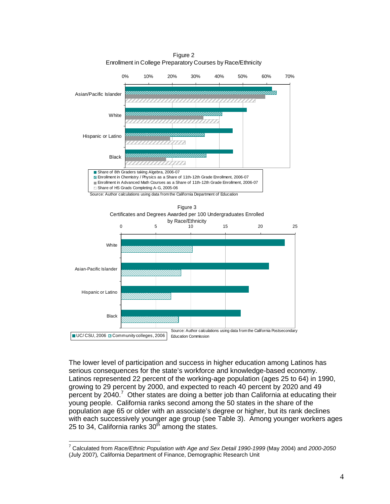Figure 2 Enrollment in College Preparatory Courses by Race/Ethnicity



The lower level of participation and success in higher education among Latinos has serious consequences for the state's workforce and knowledge-based economy. Latinos represented 22 percent of the working-age population (ages 25 to 64) in 1990, growing to 29 percent by 2000, and expected to reach 40 percent by 2020 and 49 percent by 2040.<sup>[7](#page-4-0)</sup> Other states are doing a better job than California at educating their young people. California ranks second among the 50 states in the share of the population age 65 or older with an associate's degree or higher, but its rank declines with each successively younger age group (see Table 3). Among younger workers ages 25 to 34, California ranks  $30<sup>th</sup>$  among the states.

<span id="page-4-0"></span> 7 Calculated from *Race/Ethnic Population with Age and Sex Detail 1990-1999* (May 2004) and *2000-2050* (July 2007)*,* California Department of Finance, Demographic Research Unit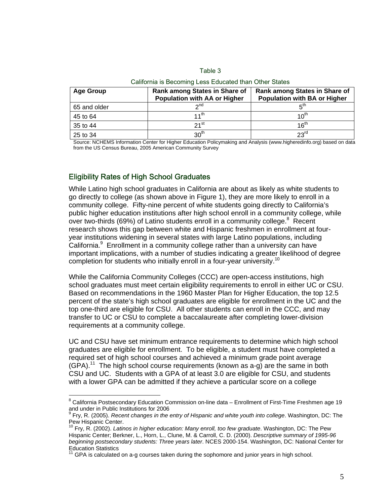#### Table 3

| <b>Age Group</b> | <b>Rank among States in Share of</b><br>Population with AA or Higher | <b>Rank among States in Share of</b><br><b>Population with BA or Higher</b> |  |  |
|------------------|----------------------------------------------------------------------|-----------------------------------------------------------------------------|--|--|
| 65 and older     | 2 <sub>nd</sub>                                                      | π™                                                                          |  |  |
| 45 to 64         | $11^{\text{th}}$                                                     | 10 <sup>th</sup>                                                            |  |  |
| 35 to 44         | $21$ <sup>st</sup>                                                   | 16 <sup>th</sup>                                                            |  |  |
| 25 to 34         | 30 <sup>th</sup>                                                     | $23^{\text{rd}}$                                                            |  |  |

#### California is Becoming Less Educated than Other States

Source: NCHEMS Information Center for Higher Education Policymaking and Analysis ([www.higheredinfo.org](http://www.higheredinfo.org/)) based on data from the US Census Bureau, 2005 American Community Survey

#### Eligibility Rates of High School Graduates

 $\overline{a}$ 

While Latino high school graduates in California are about as likely as white students to go directly to college (as shown above in Figure 1), they are more likely to enroll in a community college. Fifty-nine percent of white students going directly to California's public higher education institutions after high school enroll in a community college, while over two-thirds (69%) of Latino students enroll in a community college. $8$  Recent research shows this gap between white and Hispanic freshmen in enrollment at fouryear institutions widening in several states with large Latino populations, including California. $9$  Enrollment in a community college rather than a university can have important implications, with a number of studies indicating a greater likelihood of degree completion for students who initially enroll in a four-year university.<sup>[10](#page-5-2)</sup>

While the California Community Colleges (CCC) are open-access institutions, high school graduates must meet certain eligibility requirements to enroll in either UC or CSU. Based on recommendations in the 1960 Master Plan for Higher Education, the top 12.5 percent of the state's high school graduates are eligible for enrollment in the UC and the top one-third are eligible for CSU. All other students can enroll in the CCC, and may transfer to UC or CSU to complete a baccalaureate after completing lower-division requirements at a community college.

UC and CSU have set minimum entrance requirements to determine which high school graduates are eligible for enrollment. To be eligible, a student must have completed a required set of high school courses and achieved a minimum grade point average  $(GPA).<sup>11</sup>$  The high school course requirements (known as a-g) are the same in both CSU and UC. Students with a GPA of at least 3.0 are eligible for CSU, and students with a lower GPA can be admitted if they achieve a particular score on a college

<span id="page-5-0"></span><sup>&</sup>lt;sup>8</sup> California Postsecondary Education Commission on-line data – Enrollment of First-Time Freshmen age 19 and under in Public Institutions for 2006

<span id="page-5-1"></span><sup>&</sup>lt;sup>9</sup> Fry, R. (2005). *Recent changes in the entry of Hispanic and white youth into college*. Washington, DC: The<br>Pew Hispanic Center.

<span id="page-5-2"></span><sup>10</sup> Frv. R. (2002). *Latinos in higher education: Many enroll, too few graduate*. Washington, DC: The Pew Hispanic Center; Berkner, L., Horn, L., Clune, M. & Carroll, C. D. (2000). *Descriptive summary of 1995-96 beginning postsecondary students: Three years later.* NCES 2000-154. Washington, DC: National Center for<br>Education Statistics<br> $^{11}$ 

<span id="page-5-3"></span>GPA is calculated on a-g courses taken during the sophomore and junior years in high school.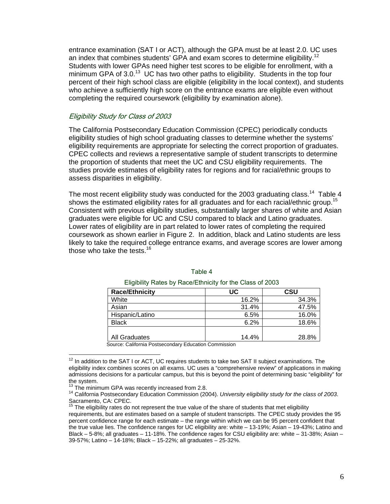entrance examination (SAT I or ACT), although the GPA must be at least 2.0. UC uses an index that combines students' GPA and exam scores to determine eligibility.<sup>12</sup> Students with lower GPAs need higher test scores to be eligible for enrollment, with a minimum GPA of  $3.0<sup>13</sup>$  UC has two other paths to eligibility. Students in the top four percent of their high school class are eligible (eligibility in the local context), and students who achieve a sufficiently high score on the entrance exams are eligible even without completing the required coursework (eligibility by examination alone).

#### Eligibility Study for Class of 2003

The California Postsecondary Education Commission (CPEC) periodically conducts eligibility studies of high school graduating classes to determine whether the systems' eligibility requirements are appropriate for selecting the correct proportion of graduates. CPEC collects and reviews a representative sample of student transcripts to determine the proportion of students that meet the UC and CSU eligibility requirements. The studies provide estimates of eligibility rates for regions and for racial/ethnic groups to assess disparities in eligibility.

The most recent eligibility study was conducted for the 2003 graduating class.<sup>14</sup> Table 4 shows the estimated eligibility rates for all graduates and for each racial/ethnic group.<sup>15</sup> Consistent with previous eligibility studies, substantially larger shares of white and Asian graduates were eligible for UC and CSU compared to black and Latino graduates. Lower rates of eligibility are in part related to lower rates of completing the required coursework as shown earlier in Figure 2. In addition, black and Latino students are less likely to take the required college entrance exams, and average scores are lower among those who take the tests.<sup>[16](#page-6-4)</sup>

| <b>Race/Ethnicity</b> | UC    | CSU   |
|-----------------------|-------|-------|
| White                 | 16.2% | 34.3% |
| Asian                 | 31.4% | 47.5% |
| Hispanic/Latino       | 6.5%  | 16.0% |
| <b>Black</b>          | 6.2%  | 18.6% |
|                       |       |       |
| <b>All Graduates</b>  | 14.4% | 28.8% |

#### Table 4

Eligibility Rates by Race/Ethnicity for the Class of 2003

Source: California Postsecondary Education Commission

 $\overline{a}$ 

<span id="page-6-0"></span> $12$  In addition to the SAT I or ACT, UC requires students to take two SAT II subject examinations. The eligibility index combines scores on all exams. UC uses a "comprehensive review" of applications in making admissions decisions for a particular campus, but this is beyond the point of determining basic "eligibility" for the system.<br><sup>13</sup> The minimum GPA was recently increased from 2.8.<br><sup>14</sup> California Postsecondary Education Commission (2004). *University eligibility study for the class of 2003*.

<span id="page-6-4"></span><span id="page-6-1"></span>

<span id="page-6-2"></span>Sacramento, CA: CPEC.

<span id="page-6-3"></span> $15$  The eligibility rates do not represent the true value of the share of students that met eligibility requirements, but are estimates based on a sample of student transcripts. The CPEC study provides the 95 percent confidence range for each estimate – the range within which we can be 95 percent confident that the true value lies. The confidence ranges for UC eligibility are: white – 13-19%; Asian – 19-43%; Latino and Black – 5-8%; all graduates – 11-18%. The confidence rages for CSU eligibility are: white – 31-38%; Asian – 39-57%; Latino – 14-18%; Black – 15-22%; all graduates – 25-32%.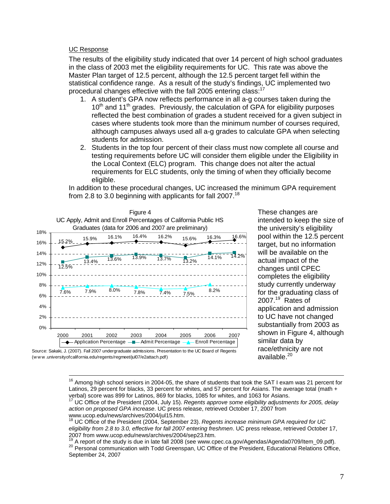#### UC Response

The results of the eligibility study indicated that over 14 percent of high school graduates in the class of 2003 met the eligibility requirements for UC. This rate was above the Master Plan target of 12.5 percent, although the 12.5 percent target fell within the statistical confidence range. As a result of the study's findings, UC implemented two procedural changes effective with the fall 2005 entering class:<sup>1</sup>

- 1. A student's GPA now reflects performance in all a-g courses taken during the  $10<sup>th</sup>$  and  $11<sup>th</sup>$  grades. Previously, the calculation of GPA for eligibility purposes reflected the best combination of grades a student received for a given subject in cases where students took more than the minimum number of courses required, although campuses always used all a-g grades to calculate GPA when selecting students for admission.
- 2. Students in the top four percent of their class must now complete all course and testing requirements before UC will consider them eligible under the Eligibility in the Local Context (ELC) program. This change does not alter the actual requirements for ELC students, only the timing of when they officially become eligible.

In addition to these procedural changes, UC increased the minimum GPA requirement from 2.8 to 3.0 beginning with applicants for fall  $2007$ .<sup>18</sup>



These changes are intended to keep the size o f the university's eligibility pool within the 12.5 p ercent target, but no informatio n will be available on the actual impact of the changes until CPEC completes the eligibilit y study currently underway for the graduating class of 2007. [19](#page-7-2) Rates of application and admission to UC have not changed substantially from 2003 as shown in Figure 4, although similar data by race/ethnicity are not available.<sup>20</sup>



 $\overline{a}$ 

<sup>16</sup> Among high school seniors in 2004-05, the share of students that took the SAT I exam was 21 percent for Latinos, 29 percent for blacks, 33 percent for whites, and 57 percent for Asians. The average total (math + verbal) score was 899 for Latinos, 869 for blacks, 1085 for whites, and 1063 for Asians. 17 UC Office of the President (2004, July 15). *Regents approve some eligibility adjustments for 2005, delay* 

<span id="page-7-0"></span>*action on proposed GPA increase*. UC press release, retrieved October 17, 2007 from<br>www.ucop.edu/news/archives/2004/jul15.htm.<br><sup>18</sup> LIC Office of the President (2004, 0

<span id="page-7-1"></span>UC Office of the President (2004, September 23). *Regents increase minimum GPA required for UC eligibility from 2.8 to 3.0, effective for fall 2007 entering freshmen*. UC press release, retrieved October 17,

<span id="page-7-3"></span><span id="page-7-2"></span><sup>2007</sup> from www.ucop.edu/news/archives/2004/sep23.htm.<br><sup>19</sup> A report of the study is due in late fall 2008 (see www.cpec.ca.gov/Agendas/Agenda0709/Item\_09.pdf).<br><sup>20</sup> Personal communication with Todd Greenspan, UC Office of September 24, 2007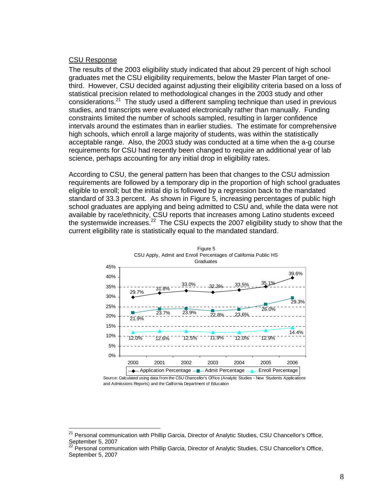## CSU Response

 $\overline{a}$ 

The results of the 2003 eligibility study indicated that about 29 percent of high school graduates met the CSU eligibility requirements, below the Master Plan target of onethird. However, CSU decided against adjusting their eligibility criteria based on a loss of statistical precision related to methodological changes in the 2003 study and other considerations. $21$  The study used a different sampling technique than used in previous studies, and transcripts were evaluated electronically rather than manually. Funding constraints limited the number of schools sampled, resulting in larger confidence intervals around the estimates than in earlier studies. The estimate for comprehensive high schools, which enroll a large majority of students, was within the statistically acceptable range. Also, the 2003 study was conducted at a time when the a-g course requirements for CSU had recently been changed to require an additional year of lab science, perhaps accounting for any initial drop in eligibility rates.

According to CSU, the general pattern has been that changes to the CSU admission requirements are followed by a temporary dip in the proportion of high school graduates eligible to enroll; but the initial dip is followed by a regression back to the mandated standard of 33.3 percent. As shown in Figure 5, increasing percentages of public high school graduates are applying and being admitted to CSU and, while the data were not available by race/ethnicity, CSU reports that increases among Latino students exceed the systemwide increases.<sup>22</sup> The CSU expects the 2007 eligibility study to show that the current eligibility rate is statistically equal to the mandated standard.



Source: Calculated using data from the CSU Chancellor's Office (Analytic Studies - New Students Applications and Admissions Reports) and the California Department of Education

<span id="page-8-0"></span><sup>&</sup>lt;sup>21</sup> Personal communication with Phillip Garcia, Director of Analytic Studies, CSU Chancellor's Office, September 5, 2007<br><sup>22</sup> Personal communication with Phillip Garcia, Director of Analytic Studies, CSU Chancellor's Office,

<span id="page-8-1"></span>September 5, 2007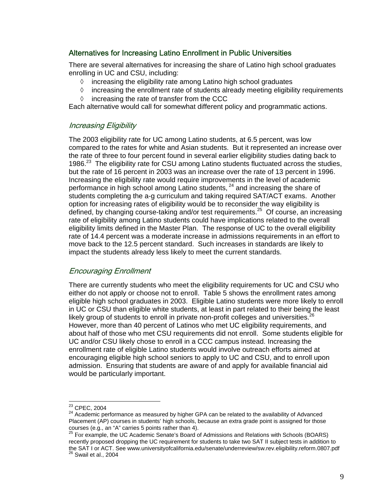# Alternatives for Increasing Latino Enrollment in Public Universities

There are several alternatives for increasing the share of Latino high school graduates enrolling in UC and CSU, including:

- ◊ increasing the eligibility rate among Latino high school graduates
- $\Diamond$  increasing the enrollment rate of students already meeting eligibility requirements
- ◊ increasing the rate of transfer from the CCC

Each alternative would call for somewhat different policy and programmatic actions.

## Increasing Eligibility

The 2003 eligibility rate for UC among Latino students, at 6.5 percent, was low compared to the rates for white and Asian students. But it represented an increase over the rate of three to four percent found in several earlier eligibility studies dating back to 1986. $^{23}$  The eligibility rate for CSU among Latino students fluctuated across the studies, but the rate of 16 percent in 2003 was an increase over the rate of 13 percent in 1996. Increasing the eligibility rate would require improvements in the level of academic performance in high school among Latino students, <sup>24</sup> and increasing the share of students completing the a-g curriculum and taking required SAT/ACT exams. Another option for increasing rates of eligibility would be to reconsider the way eligibility is defined, by changing course-taking and/or test requirements.[25](#page-9-2) Of course, an increasing rate of eligibility among Latino students could have implications related to the overall eligibility limits defined in the Master Plan. The response of UC to the overall eligibility rate of 14.4 percent was a moderate increase in admissions requirements in an effort to move back to the 12.5 percent standard. Such increases in standards are likely to impact the students already less likely to meet the current standards.

# Encouraging Enrollment

There are currently students who meet the eligibility requirements for UC and CSU who either do not apply or choose not to enroll. Table 5 shows the enrollment rates among eligible high school graduates in 2003. Eligible Latino students were more likely to enroll in UC or CSU than eligible white students, at least in part related to their being the least likely group of students to enroll in private non-profit colleges and universities.<sup>2</sup> However, more than 40 percent of Latinos who met UC eligibility requirements, and about half of those who met CSU requirements did not enroll. Some students eligible for UC and/or CSU likely chose to enroll in a CCC campus instead. Increasing the enrollment rate of eligible Latino students would involve outreach efforts aimed at encouraging eligible high school seniors to apply to UC and CSU, and to enroll upon admission. Ensuring that students are aware of and apply for available financial aid would be particularly important.

<span id="page-9-0"></span><sup>&</sup>lt;sup>23</sup> CPEC, 2004

<span id="page-9-1"></span> $24$  Academic performance as measured by higher GPA can be related to the availability of Advanced Placement (AP) courses in students' high schools, because an extra grade point is assigned for those courses (e.g., an "A" carries 5 points rather than 4).

<span id="page-9-3"></span><span id="page-9-2"></span> $25$  For example, the UC Academic Senate's Board of Admissions and Relations with Schools (BOARS) recently proposed dropping the UC requirement for students to take two SAT II subject tests in addition to the SAT I or ACT. See www.universityofcalifornia.edu/senate/underreview/sw.rev.eligibility.reform.0807.pdf 26 Swail et al., 2004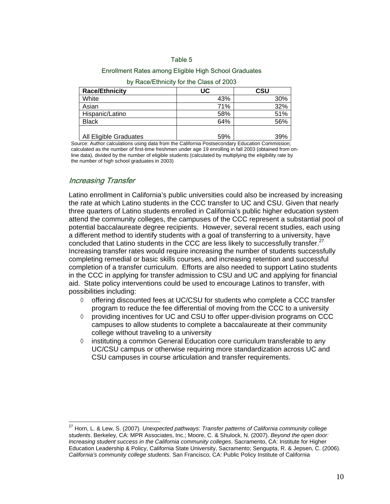#### Table 5

#### Enrollment Rates among Eligible High School Graduates

| <b>Race/Ethnicity</b>  | UC  | CSU |
|------------------------|-----|-----|
| White                  | 43% | 30% |
| Asian                  | 71% | 32% |
| Hispanic/Latino        | 58% | 51% |
| <b>Black</b>           | 64% | 56% |
| All Eligible Graduates | 59% | 39% |

#### by Race/Ethnicity for the Class of 2003

Source: Author calculations using data from the California Postsecondary Education Commission; calculated as the number of first-time freshmen under age 19 enrolling in fall 2003 (obtained from online data), divided by the number of eligible students (calculated by multiplying the eligibility rate by the number of high school graduates in 2003)

## Increasing Transfer

 $\overline{a}$ 

Latino enrollment in California's public universities could also be increased by increasing the rate at which Latino students in the CCC transfer to UC and CSU. Given that nearly three quarters of Latino students enrolled in California's public higher education system attend the community colleges, the campuses of the CCC represent a substantial pool of potential baccalaureate degree recipients. However, several recent studies, each using a different method to identify students with a goal of transferring to a university, have concluded that Latino students in the CCC are less likely to successfully transfer. $27$ Increasing transfer rates would require increasing the number of students successfully completing remedial or basic skills courses, and increasing retention and successful completion of a transfer curriculum. Efforts are also needed to support Latino students in the CCC in applying for transfer admission to CSU and UC and applying for financial aid. State policy interventions could be used to encourage Latinos to transfer, with possibilities including:

- ◊ offering discounted fees at UC/CSU for students who complete a CCC transfer program to reduce the fee differential of moving from the CCC to a university
- $\Diamond$  providing incentives for UC and CSU to offer upper-division programs on CCC campuses to allow students to complete a baccalaureate at their community college without traveling to a university
- ◊ instituting a common General Education core curriculum transferable to any UC/CSU campus or otherwise requiring more standardization across UC and CSU campuses in course articulation and transfer requirements.

<span id="page-10-0"></span><sup>27</sup> Horn, L. & Lew, S. (2007). *Unexpected pathways: Transfer patterns of California community college students*. Berkeley, CA: MPR Associates, Inc.; Moore, C. & Shulock, N. (2007). *Beyond the open door: Increasing student success in the California community colleges*. Sacramento, CA: Institute for Higher Education Leadership & Policy, California State University, Sacramento; Sengupta, R. & Jepsen, C. (2006). *California's community college students*. San Francisco, CA: Public Policy Institute of California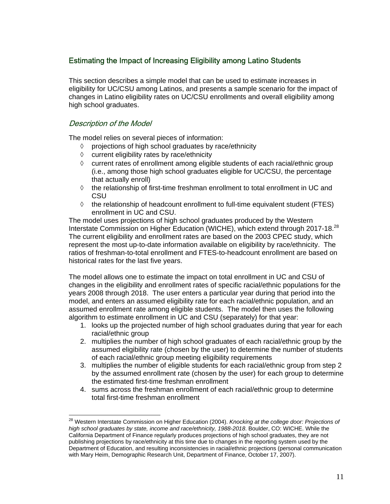# Estimating the Impact of Increasing Eligibility among Latino Students

This section describes a simple model that can be used to estimate increases in eligibility for UC/CSU among Latinos, and presents a sample scenario for the impact of changes in Latino eligibility rates on UC/CSU enrollments and overall eligibility among high school graduates.

# Description of the Model

The model relies on several pieces of information:

- ◊ projections of high school graduates by race/ethnicity
- ◊ current eligibility rates by race/ethnicity
- $\diamond$  current rates of enrollment among eligible students of each racial/ethnic group (i.e., among those high school graduates eligible for UC/CSU, the percentage that actually enroll)
- $\diamond$  the relationship of first-time freshman enrollment to total enrollment in UC and CSU
- $\diamond$  the relationship of headcount enrollment to full-time equivalent student (FTES) enrollment in UC and CSU.

The model uses projections of high school graduates produced by the Western Interstate Commission on Higher Education (WICHE), which extend through 2017-18.<sup>28</sup> The current eligibility and enrollment rates are based on the 2003 CPEC study, which represent the most up-to-date information available on eligibility by race/ethnicity. The ratios of freshman-to-total enrollment and FTES-to-headcount enrollment are based on historical rates for the last five years.

The model allows one to estimate the impact on total enrollment in UC and CSU of changes in the eligibility and enrollment rates of specific racial/ethnic populations for the years 2008 through 2018. The user enters a particular year during that period into the model, and enters an assumed eligibility rate for each racial/ethnic population, and an assumed enrollment rate among eligible students. The model then uses the following algorithm to estimate enrollment in UC and CSU (separately) for that year:

- 1. looks up the projected number of high school graduates during that year for each racial/ethnic group
- 2. multiplies the number of high school graduates of each racial/ethnic group by the assumed eligibility rate (chosen by the user) to determine the number of students of each racial/ethnic group meeting eligibility requirements
- 3. multiplies the number of eligible students for each racial/ethnic group from step 2 by the assumed enrollment rate (chosen by the user) for each group to determine the estimated first-time freshman enrollment
- 4. sums across the freshman enrollment of each racial/ethnic group to determine total first-time freshman enrollment

<span id="page-11-0"></span> $\overline{a}$ 28 Western Interstate Commission on Higher Education (2004). *Knocking at the college door: Projections of high school graduates by state, income and race/ethnicity, 1988-2018*. Boulder, CO: WICHE. While the California Department of Finance regularly produces projections of high school graduates, they are not publishing projections by race/ethnicity at this time due to changes in the reporting system used by the Department of Education, and resulting inconsistencies in racial/ethnic projections (personal communication with Mary Heim, Demographic Research Unit, Department of Finance, October 17, 2007).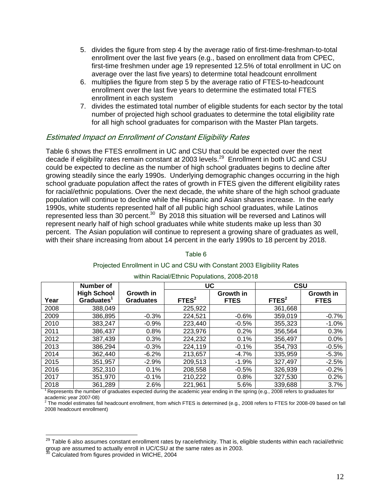- 5. divides the figure from step 4 by the average ratio of first-time-freshman-to-total enrollment over the last five years (e.g., based on enrollment data from CPEC, first-time freshmen under age 19 represented 12.5% of total enrollment in UC on average over the last five years) to determine total headcount enrollment
- 6. multiplies the figure from step 5 by the average ratio of FTES-to-headcount enrollment over the last five years to determine the estimated total FTES enrollment in each system
- 7. divides the estimated total number of eligible students for each sector by the total number of projected high school graduates to determine the total eligibility rate for all high school graduates for comparison with the Master Plan targets.

## Estimated Impact on Enrollment of Constant Eligibility Rates

Table 6 shows the FTES enrollment in UC and CSU that could be expected over the next decade if eligibility rates remain constant at 2003 levels.<sup>29</sup> Enrollment in both UC and CSU could be expected to decline as the number of high school graduates begins to decline after growing steadily since the early 1990s. Underlying demographic changes occurring in the high school graduate population affect the rates of growth in FTES given the different eligibility rates for racial/ethnic populations. Over the next decade, the white share of the high school graduate population will continue to decline while the Hispanic and Asian shares increase. In the early 1990s, white students represented half of all public high school graduates, while Latinos represented less than 30 percent.[30](#page-12-1) By 2018 this situation will be reversed and Latinos will represent nearly half of high school graduates while white students make up less than 30 percent. The Asian population will continue to represent a growing share of graduates as well, with their share increasing from about 14 percent in the early 1990s to 18 percent by 2018.

|      | <b>Number of</b>       |                  | UC                |             | <b>CSU</b>        |             |
|------|------------------------|------------------|-------------------|-------------|-------------------|-------------|
|      | <b>High School</b>     | Growth in        |                   | Growth in   |                   | Growth in   |
| Year | Graduates <sup>1</sup> | <b>Graduates</b> | FTES <sup>2</sup> | <b>FTES</b> | FTES <sup>2</sup> | <b>FTES</b> |
| 2008 | 388,049                |                  | 225,922           |             | 361,668           |             |
| 2009 | 386,895                | $-0.3%$          | 224,521           | $-0.6%$     | 359,019           | $-0.7%$     |
| 2010 | 383,247                | $-0.9%$          | 223,440           | $-0.5%$     | 355,323           | $-1.0%$     |
| 2011 | 386,437                | 0.8%             | 223,976           | 0.2%        | 356,564           | 0.3%        |
| 2012 | 387,439                | 0.3%             | 224,232           | 0.1%        | 356,497           | 0.0%        |
| 2013 | 386,294                | $-0.3%$          | 224,119           | $-0.1%$     | 354,793           | $-0.5%$     |
| 2014 | 362,440                | $-6.2%$          | 213,657           | $-4.7%$     | 335,959           | $-5.3%$     |
| 2015 | 351,957                | $-2.9%$          | 209,513           | $-1.9%$     | 327,497           | $-2.5%$     |
| 2016 | 352,310                | 0.1%             | 208,558           | $-0.5%$     | 326,939           | $-0.2%$     |
| 2017 | 351,970                | $-0.1%$          | 210,222           | 0.8%        | 327,530           | 0.2%        |
| 2018 | 361,289                | 2.6%             | 221,961           | 5.6%        | 339,688           | 3.7%        |

## Projected Enrollment in UC and CSU with Constant 2003 Eligibility Rates within Racial/Ethnic Populations, 2008-2018

Table 6

<sup>1</sup> Represents the number of graduates expected during the academic year ending in the spring (e.g., 2008 refers to graduates for academic year 2007-08)

 The model estimates fall headcount enrollment, from which FTES is determined (e.g., 2008 refers to FTES for 2008-09 based on fall 2008 headcount enrollment)

 $\overline{a}$ 

<span id="page-12-0"></span> $^{29}$  Table 6 also assumes constant enrollment rates by race/ethnicity. That is, eligible students within each racial/ethnic group are assumed to actually enroll in UC/CSU at the same rates as in 2003.<br><sup>30</sup> Calculated from figures provided in WICHE, 2004

<span id="page-12-1"></span>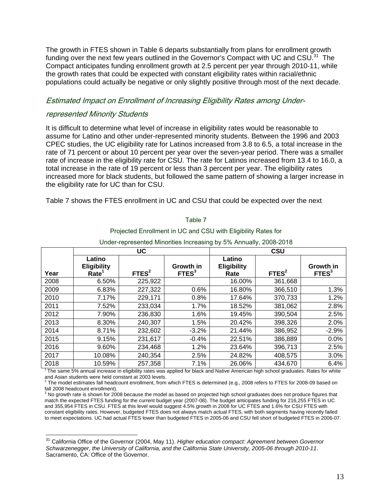The growth in FTES shown in Table 6 departs substantially from plans for enrollment growth funding over the next few years outlined in the Governor's Compact with UC and  $CSU<sup>31</sup>$  The Compact anticipates funding enrollment growth at 2.5 percent per year through 2010-11, while the growth rates that could be expected with constant eligibility rates within racial/ethnic populations could actually be negative or only slightly positive through most of the next decade.

## Estimated Impact on Enrollment of Increasing Eligibility Rates among Under-

## represented Minority Students

 $\overline{a}$ 

It is difficult to determine what level of increase in eligibility rates would be reasonable to assume for Latino and other under-represented minority students. Between the 1996 and 2003 CPEC studies, the UC eligibility rate for Latinos increased from 3.8 to 6.5, a total increase in the rate of 71 percent or about 10 percent per year over the seven-year period. There was a smaller rate of increase in the eligibility rate for CSU. The rate for Latinos increased from 13.4 to 16.0, a total increase in the rate of 19 percent or less than 3 percent per year. The eligibility rates increased more for black students, but followed the same pattern of showing a larger increase in the eligibility rate for UC than for CSU.

Table 7 shows the FTES enrollment in UC and CSU that could be expected over the next

|      | <b>UC</b><br>CSU                                  |                   |                                |                                      |                   |                                |
|------|---------------------------------------------------|-------------------|--------------------------------|--------------------------------------|-------------------|--------------------------------|
| Year | Latino<br><b>Eligibility</b><br>Rate <sup>1</sup> | FTES <sup>2</sup> | Growth in<br>FTES <sup>3</sup> | Latino<br><b>Eligibility</b><br>Rate | FTES <sup>2</sup> | Growth in<br>FTES <sup>3</sup> |
| 2008 | 6.50%                                             | 225,922           |                                | 16.00%                               | 361,668           |                                |
| 2009 | 6.83%                                             | 227,322           | 0.6%                           | 16.80%                               | 366,510           | 1.3%                           |
| 2010 | 7.17%                                             | 229,171           | 0.8%                           | 17.64%                               | 370,733           | 1.2%                           |
| 2011 | 7.52%                                             | 233,034           | 1.7%                           | 18.52%                               | 381,062           | 2.8%                           |
| 2012 | 7.90%                                             | 236,830           | 1.6%                           | 19.45%                               | 390,504           | 2.5%                           |
| 2013 | 8.30%                                             | 240,307           | 1.5%                           | 20.42%                               | 398,326           | 2.0%                           |
| 2014 | 8.71%                                             | 232,602           | $-3.2%$                        | 21.44%                               | 386,952           | $-2.9%$                        |
| 2015 | 9.15%                                             | 231,617           | $-0.4%$                        | 22.51%                               | 386,889           | 0.0%                           |
| 2016 | 9.60%                                             | 234,468           | 1.2%                           | 23.64%                               | 396,713           | 2.5%                           |
| 2017 | 10.08%                                            | 240,354           | 2.5%                           | 24.82%                               | 408,575           | 3.0%                           |
| 2018 | 10.59%                                            | 257,358           | 7.1%                           | 26.06%                               | 434,670           | 6.4%                           |

Projected Enrollment in UC and CSU with Eligibility Rates for Under-represented Minorities Increasing by 5% Annually, 2008-2018

Table 7

<sup>1</sup>The same 5% annual increase in eligibility rates was applied for black and Native American high school graduates. Rates for white and Asian students were held constant at 2003 levels.

 The model estimates fall headcount enrollment, from which FTES is determined (e.g., 2008 refers to FTES for 2008-09 based on fall 2008 headcount enrollment).

 $3$  No growth rate is shown for  $2008$  because the model as based on projected high school graduates does not produce figures that match the expected FTES funding for the current budget year (2007-08). The budget anticipates funding for 216,255 FTES in UC and 355,954 FTES in CSU. FTES at this level would suggest 4.5% growth in 2008 for UC FTES and 1.6% for CSU FTES with constant eligibility rates. However, budgeted FTES does not always match actual FTES, with both segments having recently failed to meet expectations. UC had actual FTES lower than budgeted FTES in 2005-06 and CSU fell short of budgeted FTES in 2006-07.

<span id="page-13-0"></span><sup>31</sup> California Office of the Governor (2004, May 11). *Higher education compact: Agreement between Governor Schwarzenegger, the University of California, and the California State University, 2005-06 through 2010-11*. Sacramento, CA: Office of the Governor.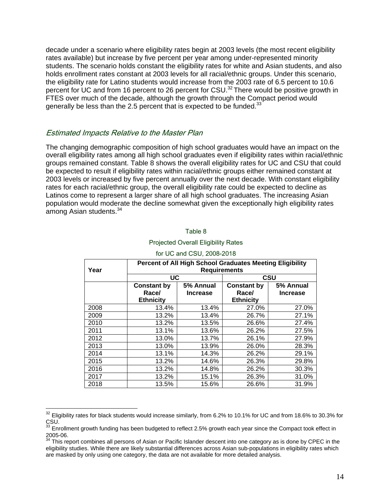decade under a scenario where eligibility rates begin at 2003 levels (the most recent eligibility rates available) but increase by five percent per year among under-represented minority students. The scenario holds constant the eligibility rates for white and Asian students, and also holds enrollment rates constant at 2003 levels for all racial/ethnic groups. Under this scenario, the eligibility rate for Latino students would increase from the 2003 rate of 6.5 percent to 10.6 percent for UC and from 16 percent to 26 percent for CSU.<sup>32</sup> There would be positive growth in FTES over much of the decade, although the growth through the Compact period would generally be less than the 2.5 percent that is expected to be funded. $33$ 

# Estimated Impacts Relative to the Master Plan

 $\overline{a}$ 

The changing demographic composition of high school graduates would have an impact on the overall eligibility rates among all high school graduates even if eligibility rates within racial/ethnic groups remained constant. Table 8 shows the overall eligibility rates for UC and CSU that could be expected to result if eligibility rates within racial/ethnic groups either remained constant at 2003 levels or increased by five percent annually over the next decade. With constant eligibility rates for each racial/ethnic group, the overall eligibility rate could be expected to decline as Latinos come to represent a larger share of all high school graduates. The increasing Asian population would moderate the decline somewhat given the exceptionally high eligibility rates among Asian students.<sup>34</sup>

| ioi oo dha ooo. Looo Lo lo |                                                                                                                   |                 |                    |           |  |
|----------------------------|-------------------------------------------------------------------------------------------------------------------|-----------------|--------------------|-----------|--|
| Year                       | <b>Percent of All High School Graduates Meeting Eligibility</b><br><b>Requirements</b><br><b>UC</b><br><b>CSU</b> |                 |                    |           |  |
|                            |                                                                                                                   |                 |                    |           |  |
|                            | <b>Constant by</b>                                                                                                | 5% Annual       | <b>Constant by</b> | 5% Annual |  |
|                            | Race/                                                                                                             | <b>Increase</b> | Race/              | Increase  |  |
|                            | <b>Ethnicity</b>                                                                                                  |                 | <b>Ethnicity</b>   |           |  |
| 2008                       | 13.4%                                                                                                             | 13.4%           | 27.0%              | 27.0%     |  |
| 2009                       | 13.2%                                                                                                             | 13.4%           | 26.7%              | 27.1%     |  |
| 2010                       | 13.2%                                                                                                             | 13.5%           | 26.6%              | 27.4%     |  |
| 2011                       | 13.1%                                                                                                             | 13.6%           | 26.2%              | 27.5%     |  |
| 2012                       | 13.0%                                                                                                             | 13.7%           | 26.1%              | 27.9%     |  |
| 2013                       | 13.0%                                                                                                             | 13.9%           | 26.0%              | 28.3%     |  |
| 2014                       | 13.1%                                                                                                             | 14.3%           | 26.2%              | 29.1%     |  |
| 2015                       | 13.2%                                                                                                             | 14.6%           | 26.3%              | 29.8%     |  |
| 2016                       | 13.2%                                                                                                             | 14.8%           | 26.2%              | 30.3%     |  |
| 2017                       | 13.2%                                                                                                             | 15.1%           | 26.3%              | 31.0%     |  |
| 2018                       | 13.5%                                                                                                             | 15.6%           | 26.6%              | 31.9%     |  |

#### Projected Overall Eligibility Rates for UC and CSU, 2008-2018

Table 8

<span id="page-14-0"></span> $32$  Eligibility rates for black students would increase similarly, from 6.2% to 10.1% for UC and from 18.6% to 30.3% for CSU.

<span id="page-14-1"></span> $^{33}$  Enrollment growth funding has been budgeted to reflect 2.5% growth each year since the Compact took effect in

<span id="page-14-2"></span><sup>&</sup>lt;sup>34</sup> This report combines all persons of Asian or Pacific Islander descent into one category as is done by CPEC in the eligibility studies. While there are likely substantial differences across Asian sub-populations in eligibility rates which are masked by only using one category, the data are not available for more detailed analysis.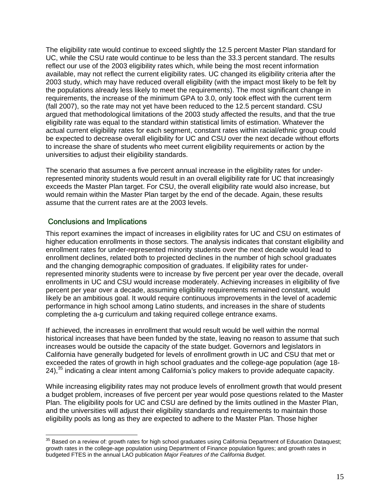The eligibility rate would continue to exceed slightly the 12.5 percent Master Plan standard for UC, while the CSU rate would continue to be less than the 33.3 percent standard. The results reflect our use of the 2003 eligibility rates which, while being the most recent information available, may not reflect the current eligibility rates. UC changed its eligibility criteria after the 2003 study, which may have reduced overall eligibility (with the impact most likely to be felt by the populations already less likely to meet the requirements). The most significant change in requirements, the increase of the minimum GPA to 3.0, only took effect with the current term (fall 2007), so the rate may not yet have been reduced to the 12.5 percent standard. CSU argued that methodological limitations of the 2003 study affected the results, and that the true eligibility rate was equal to the standard within statistical limits of estimation. Whatever the actual current eligibility rates for each segment, constant rates within racial/ethnic group could be expected to decrease overall eligibility for UC and CSU over the next decade without efforts to increase the share of students who meet current eligibility requirements or action by the universities to adjust their eligibility standards.

The scenario that assumes a five percent annual increase in the eligibility rates for underrepresented minority students would result in an overall eligibility rate for UC that increasingly exceeds the Master Plan target. For CSU, the overall eligibility rate would also increase, but would remain within the Master Plan target by the end of the decade. Again, these results assume that the current rates are at the 2003 levels.

# Conclusions and Implications

 $\overline{a}$ 

This report examines the impact of increases in eligibility rates for UC and CSU on estimates of higher education enrollments in those sectors. The analysis indicates that constant eligibility and enrollment rates for under-represented minority students over the next decade would lead to enrollment declines, related both to projected declines in the number of high school graduates and the changing demographic composition of graduates. If eligibility rates for underrepresented minority students were to increase by five percent per year over the decade, overall enrollments in UC and CSU would increase moderately. Achieving increases in eligibility of five percent per year over a decade, assuming eligibility requirements remained constant, would likely be an ambitious goal. It would require continuous improvements in the level of academic performance in high school among Latino students, and increases in the share of students completing the a-g curriculum and taking required college entrance exams.

If achieved, the increases in enrollment that would result would be well within the normal historical increases that have been funded by the state, leaving no reason to assume that such increases would be outside the capacity of the state budget. Governors and legislators in California have generally budgeted for levels of enrollment growth in UC and CSU that met or exceeded the rates of growth in high school graduates and the college-age population (age 18- 24),<sup>35</sup> indicating a clear intent among California's policy makers to provide adequate capacity.

While increasing eligibility rates may not produce levels of enrollment growth that would present a budget problem, increases of five percent per year would pose questions related to the Master Plan. The eligibility pools for UC and CSU are defined by the limits outlined in the Master Plan, and the universities will adjust their eligibility standards and requirements to maintain those eligibility pools as long as they are expected to adhere to the Master Plan. Those higher

<span id="page-15-0"></span> $35$  Based on a review of: growth rates for high school graduates using California Department of Education Dataquest; growth rates in the college-age population using Department of Finance population figures; and growth rates in budgeted FTES in the annual LAO publication *Major Features of the California Budget*.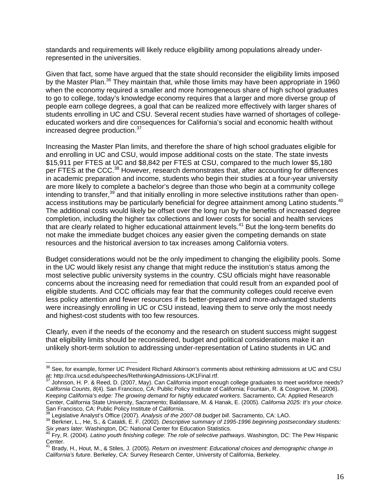standards and requirements will likely reduce eligibility among populations already underrepresented in the universities.

Given that fact, some have argued that the state should reconsider the eligibility limits imposed by the Master Plan.<sup>36</sup> They maintain that, while those limits may have been appropriate in 1960 when the economy required a smaller and more homogeneous share of high school graduates to go to college, today's knowledge economy requires that a larger and more diverse group of people earn college degrees, a goal that can be realized more effectively with larger shares of students enrolling in UC and CSU. Several recent studies have warned of shortages of collegeeducated workers and dire consequences for California's social and economic health without increased degree production.<sup>37</sup>

Increasing the Master Plan limits, and therefore the share of high school graduates eligible for and enrolling in UC and CSU, would impose additional costs on the state. The state invests \$15,911 per FTES at UC and \$8,842 per FTES at CSU, compared to the much lower \$5,180 per FTES at the CCC.<sup>38</sup> However, research demonstrates that, after accounting for differences in academic preparation and income, students who begin their studies at a four-year university are more likely to complete a bachelor's degree than those who begin at a community college intending to transfer,<sup>39</sup> and that initially enrolling in more selective institutions rather than openaccess institutions may be particularly beneficial for degree attainment among Latino students.<sup>40</sup> The additional costs would likely be offset over the long run by the benefits of increased degree completion, including the higher tax collections and lower costs for social and health services that are clearly related to higher educational attainment levels.<sup>41</sup> But the long-term benefits do not make the immediate budget choices any easier given the competing demands on state resources and the historical aversion to tax increases among California voters.

Budget considerations would not be the only impediment to changing the eligibility pools. Some in the UC would likely resist any change that might reduce the institution's status among the most selective public university systems in the country. CSU officials might have reasonable concerns about the increasing need for remediation that could result from an expanded pool of eligible students. And CCC officials may fear that the community colleges could receive even less policy attention and fewer resources if its better-prepared and more-advantaged students were increasingly enrolling in UC or CSU instead, leaving them to serve only the most needy and highest-cost students with too few resources.

Clearly, even if the needs of the economy and the research on student success might suggest that eligibility limits should be reconsidered, budget and political considerations make it an unlikely short-term solution to addressing under-representation of Latino students in UC and

<span id="page-16-0"></span> $\overline{a}$  $36$  See, for example, former UC President Richard Atkinson's comments about rethinking admissions at UC and CSU at:<http://rca.ucsd.edu/speeches/RethinkingAdmissions-UK1Final.rtf>.<br><sup>37</sup> [Johnson, H. P. & Reed, D. \(2007, May\). Can California import eno](http://rca.ucsd.edu/speeches/RethinkingAdmissions-UK1Final.rtf)ugh college graduates to meet workforce needs?

<span id="page-16-1"></span>*California Counts*, *8*(4). San Francisco, CA: Public Policy Institute of California; Fountain, R. & Cosgrove, M. (2006). *Keeping California's edge: The growing demand for highly educated workers*. Sacramento, CA: Applied Research Center, California State University, Sacramento; Baldassare, M. & Hanak, E. (2005). *California 2025: It's your choice*.<br>San Francisco, CA: Public Policy Institute of California.<br><sup>38</sup> Logislative Anglyst's Office (2007). A

<span id="page-16-3"></span><span id="page-16-2"></span>

<sup>&</sup>lt;sup>38</sup> Legislative Analyst's Office (2007). Analysis of the 2007-08 budget bill. Sacramento, CA: LAO.<br><sup>39</sup> Berkner, L., He, S., & Cataldi, E. F. (2002). Descriptive summary of 1995-1996 beginning postsecondary students: *Six years later*. Washington, DC: National Center for Education Statistics.<br><sup>40</sup> Fry, R. (2004). *Latino youth finishing college: The role of selective pathways*. Washington, DC: The Pew Hispanic

<span id="page-16-4"></span>Center.

<span id="page-16-5"></span><sup>41</sup> Brady, H., Hout, M., & Stiles, J. (2005). *Return on investment: Educational choices and demographic change in California's future*. Berkeley, CA: Survey Research Center, University of California, Berkeley.